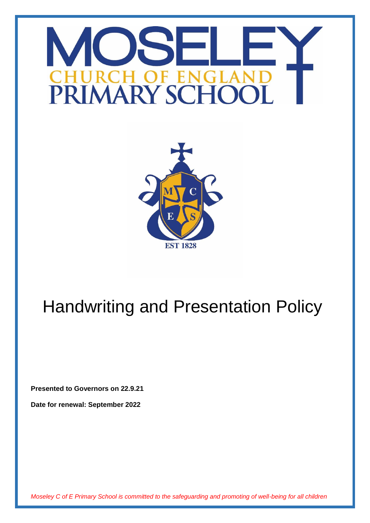# **DE EN** R ( **PRIMARY SCH**



# Handwriting and Presentation Policy

**Presented to Governors on 22.9.21**

**Date for renewal: September 2022**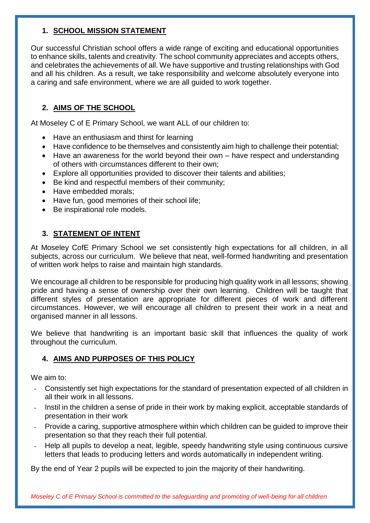#### **1. SCHOOL MISSION STATEMENT**

Our successful Christian school offers a wide range of exciting and educational opportunities to enhance skills, talents and creativity. The school community appreciates and accepts others, and celebrates the achievements of all. We have supportive and trusting relationships with God and all his children. As a result, we take responsibility and welcome absolutely everyone into a caring and safe environment, where we are all guided to work together.

# **2. AIMS OF THE SCHOOL**

At Moseley C of E Primary School, we want ALL of our children to:

- Have an enthusiasm and thirst for learning
- Have confidence to be themselves and consistently aim high to challenge their potential;
- Have an awareness for the world beyond their own have respect and understanding of others with circumstances different to their own;
- Explore all opportunities provided to discover their talents and abilities;
- Be kind and respectful members of their community;
- Have embedded morals:
- Have fun, good memories of their school life;
- Be inspirational role models.

# **3. STATEMENT OF INTENT**

At Moseley CofE Primary School we set consistently high expectations for all children, in all subjects, across our curriculum. We believe that neat, well-formed handwriting and presentation of written work helps to raise and maintain high standards.

We encourage all children to be responsible for producing high quality work in all lessons; showing pride and having a sense of ownership over their own learning. Children will be taught that different styles of presentation are appropriate for different pieces of work and different circumstances. However, we will encourage all children to present their work in a neat and organised manner in all lessons.

We believe that handwriting is an important basic skill that influences the quality of work throughout the curriculum.

# **4. AIMS AND PURPOSES OF THIS POLICY**

We aim to:

- Consistently set high expectations for the standard of presentation expected of all children in  $\overline{a}$ all their work in all lessons.
- Instil in the children a sense of pride in their work by making explicit, acceptable standards of presentation in their work
- Provide a caring, supportive atmosphere within which children can be guided to improve their presentation so that they reach their full potential.
- Help all pupils to develop a neat, legible, speedy handwriting style using continuous cursive letters that leads to producing letters and words automatically in independent writing.

By the end of Year 2 pupils will be expected to join the majority of their handwriting.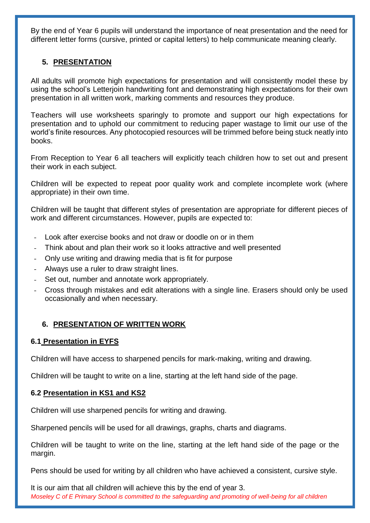By the end of Year 6 pupils will understand the importance of neat presentation and the need for different letter forms (cursive, printed or capital letters) to help communicate meaning clearly.

## **5. PRESENTATION**

All adults will promote high expectations for presentation and will consistently model these by using the school's Letterjoin handwriting font and demonstrating high expectations for their own presentation in all written work, marking comments and resources they produce.

Teachers will use worksheets sparingly to promote and support our high expectations for presentation and to uphold our commitment to reducing paper wastage to limit our use of the world's finite resources. Any photocopied resources will be trimmed before being stuck neatly into books.

From Reception to Year 6 all teachers will explicitly teach children how to set out and present their work in each subject.

Children will be expected to repeat poor quality work and complete incomplete work (where appropriate) in their own time.

Children will be taught that different styles of presentation are appropriate for different pieces of work and different circumstances. However, pupils are expected to:

- Look after exercise books and not draw or doodle on or in them
- Think about and plan their work so it looks attractive and well presented
- Only use writing and drawing media that is fit for purpose
- Always use a ruler to draw straight lines.
- Set out, number and annotate work appropriately.
- Cross through mistakes and edit alterations with a single line. Erasers should only be used occasionally and when necessary.

# **6. PRESENTATION OF WRITTEN WORK**

#### **6.1 Presentation in EYFS**

Children will have access to sharpened pencils for mark-making, writing and drawing.

Children will be taught to write on a line, starting at the left hand side of the page.

#### **6.2 Presentation in KS1 and KS2**

Children will use sharpened pencils for writing and drawing.

Sharpened pencils will be used for all drawings, graphs, charts and diagrams.

Children will be taught to write on the line, starting at the left hand side of the page or the margin.

Pens should be used for writing by all children who have achieved a consistent, cursive style.

*Moseley C of E Primary School is committed to the safeguarding and promoting of well-being for all children* It is our aim that all children will achieve this by the end of year 3.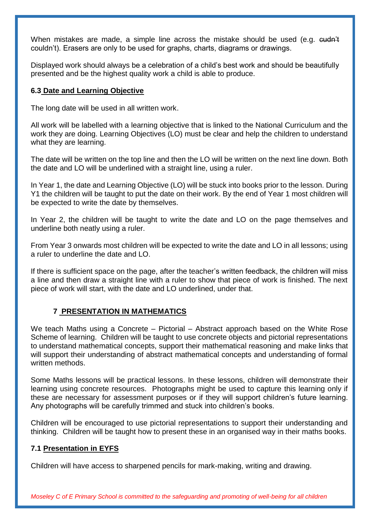When mistakes are made, a simple line across the mistake should be used (e.g. eudn't couldn't). Erasers are only to be used for graphs, charts, diagrams or drawings.

Displayed work should always be a celebration of a child's best work and should be beautifully presented and be the highest quality work a child is able to produce.

#### **6.3 Date and Learning Objective**

The long date will be used in all written work.

All work will be labelled with a learning objective that is linked to the National Curriculum and the work they are doing. Learning Objectives (LO) must be clear and help the children to understand what they are learning.

The date will be written on the top line and then the LO will be written on the next line down. Both the date and LO will be underlined with a straight line, using a ruler.

In Year 1, the date and Learning Objective (LO) will be stuck into books prior to the lesson. During Y1 the children will be taught to put the date on their work. By the end of Year 1 most children will be expected to write the date by themselves.

In Year 2, the children will be taught to write the date and LO on the page themselves and underline both neatly using a ruler.

From Year 3 onwards most children will be expected to write the date and LO in all lessons; using a ruler to underline the date and LO.

If there is sufficient space on the page, after the teacher's written feedback, the children will miss a line and then draw a straight line with a ruler to show that piece of work is finished. The next piece of work will start, with the date and LO underlined, under that.

#### **7 PRESENTATION IN MATHEMATICS**

We teach Maths using a Concrete – Pictorial – Abstract approach based on the White Rose Scheme of learning. Children will be taught to use concrete objects and pictorial representations to understand mathematical concepts, support their mathematical reasoning and make links that will support their understanding of abstract mathematical concepts and understanding of formal written methods.

Some Maths lessons will be practical lessons. In these lessons, children will demonstrate their learning using concrete resources. Photographs might be used to capture this learning only if these are necessary for assessment purposes or if they will support children's future learning. Any photographs will be carefully trimmed and stuck into children's books.

Children will be encouraged to use pictorial representations to support their understanding and thinking. Children will be taught how to present these in an organised way in their maths books.

#### **7.1 Presentation in EYFS**

Children will have access to sharpened pencils for mark-making, writing and drawing.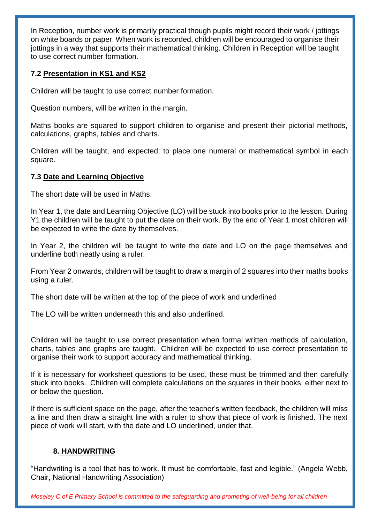In Reception, number work is primarily practical though pupils might record their work / jottings on white boards or paper. When work is recorded, children will be encouraged to organise their jottings in a way that supports their mathematical thinking. Children in Reception will be taught to use correct number formation.

#### **7.2 Presentation in KS1 and KS2**

Children will be taught to use correct number formation.

Question numbers, will be written in the margin.

Maths books are squared to support children to organise and present their pictorial methods, calculations, graphs, tables and charts.

Children will be taught, and expected, to place one numeral or mathematical symbol in each square.

#### **7.3 Date and Learning Objective**

The short date will be used in Maths.

In Year 1, the date and Learning Objective (LO) will be stuck into books prior to the lesson. During Y1 the children will be taught to put the date on their work. By the end of Year 1 most children will be expected to write the date by themselves.

In Year 2, the children will be taught to write the date and LO on the page themselves and underline both neatly using a ruler.

From Year 2 onwards, children will be taught to draw a margin of 2 squares into their maths books using a ruler.

The short date will be written at the top of the piece of work and underlined

The LO will be written underneath this and also underlined.

Children will be taught to use correct presentation when formal written methods of calculation, charts, tables and graphs are taught. Children will be expected to use correct presentation to organise their work to support accuracy and mathematical thinking.

If it is necessary for worksheet questions to be used, these must be trimmed and then carefully stuck into books. Children will complete calculations on the squares in their books, either next to or below the question.

If there is sufficient space on the page, after the teacher's written feedback, the children will miss a line and then draw a straight line with a ruler to show that piece of work is finished. The next piece of work will start, with the date and LO underlined, under that.

#### **8. HANDWRITING**

"Handwriting is a tool that has to work. It must be comfortable, fast and legible." (Angela Webb, Chair, National Handwriting Association)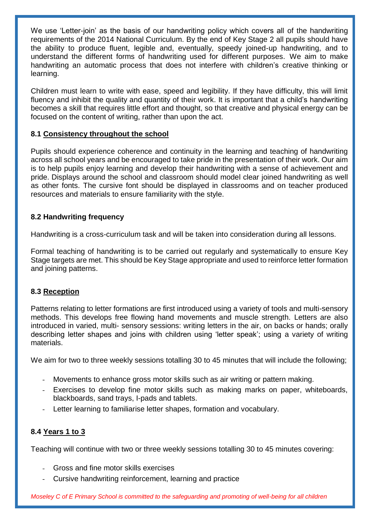We use 'Letter-join' as the basis of our handwriting policy which covers all of the handwriting requirements of the 2014 National Curriculum. By the end of Key Stage 2 all pupils should have the ability to produce fluent, legible and, eventually, speedy joined-up handwriting, and to understand the different forms of handwriting used for different purposes. We aim to make handwriting an automatic process that does not interfere with children's creative thinking or learning.

Children must learn to write with ease, speed and legibility. If they have difficulty, this will limit fluency and inhibit the quality and quantity of their work. It is important that a child's handwriting becomes a skill that requires little effort and thought, so that creative and physical energy can be focused on the content of writing, rather than upon the act.

#### **8.1 Consistency throughout the school**

Pupils should experience coherence and continuity in the learning and teaching of handwriting across all school years and be encouraged to take pride in the presentation of their work. Our aim is to help pupils enjoy learning and develop their handwriting with a sense of achievement and pride. Displays around the school and classroom should model clear joined handwriting as well as other fonts. The cursive font should be displayed in classrooms and on teacher produced resources and materials to ensure familiarity with the style.

#### **8.2 Handwriting frequency**

Handwriting is a cross-curriculum task and will be taken into consideration during all lessons.

Formal teaching of handwriting is to be carried out regularly and systematically to ensure Key Stage targets are met. This should be Key Stage appropriate and used to reinforce letter formation and joining patterns.

#### **8.3 Reception**

Patterns relating to letter formations are first introduced using a variety of tools and multi-sensory methods. This develops free flowing hand movements and muscle strength. Letters are also introduced in varied, multi- sensory sessions: writing letters in the air, on backs or hands; orally describing letter shapes and joins with children using 'letter speak'; using a variety of writing materials.

We aim for two to three weekly sessions totalling 30 to 45 minutes that will include the following;

- Movements to enhance gross motor skills such as air writing or pattern making.
- Exercises to develop fine motor skills such as making marks on paper, whiteboards, blackboards, sand trays, I-pads and tablets.
- Letter learning to familiarise letter shapes, formation and vocabulary.

# **8.4 Years 1 to 3**

Teaching will continue with two or three weekly sessions totalling 30 to 45 minutes covering:

- Gross and fine motor skills exercises
- Cursive handwriting reinforcement, learning and practice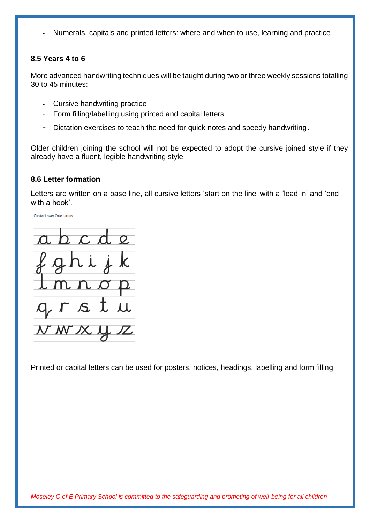Numerals, capitals and printed letters: where and when to use, learning and practice

#### **8.5 Years 4 to 6**

More advanced handwriting techniques will be taught during two or three weekly sessions totalling 30 to 45 minutes:

- Cursive handwriting practice
- Form filling/labelling using printed and capital letters  $\sim$
- Dictation exercises to teach the need for quick notes and speedy handwriting.

Older children joining the school will not be expected to adopt the cursive joined style if they already have a fluent, legible handwriting style.

#### **8.6 Letter formation**

Letters are written on a base line, all cursive letters 'start on the line' with a 'lead in' and 'end with a hook'



Printed or capital letters can be used for posters, notices, headings, labelling and form filling.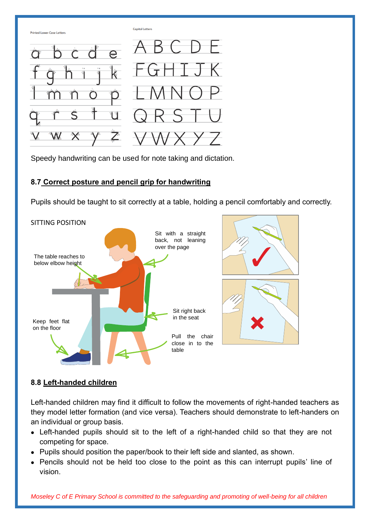

Speedy handwriting can be used for note taking and dictation.

# **8.7 Correct posture and pencil grip for handwriting**

Pupils should be taught to sit correctly at a table, holding a pencil comfortably and correctly.



# **8.8 Left-handed children**

Left-handed children may find it difficult to follow the movements of right-handed teachers as they model letter formation (and vice versa). Teachers should demonstrate to left-handers on an individual or group basis.

- Left-handed pupils should sit to the left of a right-handed child so that they are not competing for space.
- Pupils should position the paper/book to their left side and slanted, as shown.
- Pencils should not be held too close to the point as this can interrupt pupils' line of vision.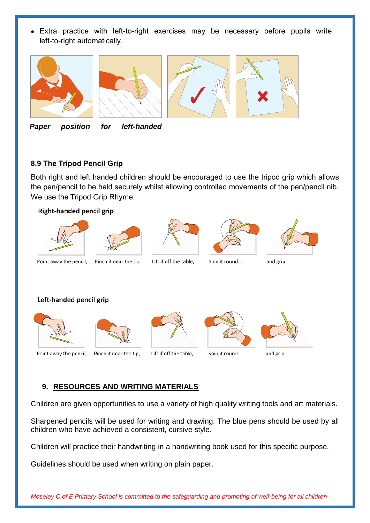Extra practice with left-to-right exercises may be necessary before pupils write left-to-right automatically.







*Paper position for left-handed* 

## **8.9 The Tripod Pencil Grip**

Both right and left handed children should be encouraged to use the tripod grip which allows the pen/pencil to be held securely whilst allowing controlled movements of the pen/pencil nib. We use the Tripod Grip Rhyme:



# **9. RESOURCES AND WRITING MATERIALS**

Children are given opportunities to use a variety of high quality writing tools and art materials.

Sharpened pencils will be used for writing and drawing. The blue pens should be used by all children who have achieved a consistent, cursive style.

Children will practice their handwriting in a handwriting book used for this specific purpose.

Guidelines should be used when writing on plain paper.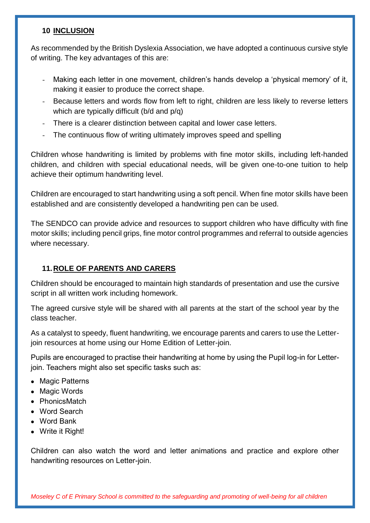#### **10 INCLUSION**

As recommended by the British Dyslexia Association, we have adopted a continuous cursive style of writing. The key advantages of this are:

- Making each letter in one movement, children's hands develop a 'physical memory' of it, making it easier to produce the correct shape.
- Because letters and words flow from left to right, children are less likely to reverse letters which are typically difficult (b/d and p/q)
- There is a clearer distinction between capital and lower case letters.
- The continuous flow of writing ultimately improves speed and spelling

Children whose handwriting is limited by problems with fine motor skills, including left-handed children, and children with special educational needs, will be given one-to-one tuition to help achieve their optimum handwriting level.

Children are encouraged to start handwriting using a soft pencil. When fine motor skills have been established and are consistently developed a handwriting pen can be used.

The SENDCO can provide advice and resources to support children who have difficulty with fine motor skills; including pencil grips, fine motor control programmes and referral to outside agencies where necessary.

# **11.ROLE OF PARENTS AND CARERS**

Children should be encouraged to maintain high standards of presentation and use the cursive script in all written work including homework.

The agreed cursive style will be shared with all parents at the start of the school year by the class teacher.

As a catalyst to speedy, fluent handwriting, we encourage parents and carers to use the Letterjoin resources at home using our Home Edition of Letter-join.

Pupils are encouraged to practise their handwriting at home by using the Pupil log-in for Letterjoin. Teachers might also set specific tasks such as:

- Magic Patterns
- Magic Words
- PhonicsMatch
- Word Search
- Word Bank
- Write it Right!

Children can also watch the word and letter animations and practice and explore other handwriting resources on Letter-join.